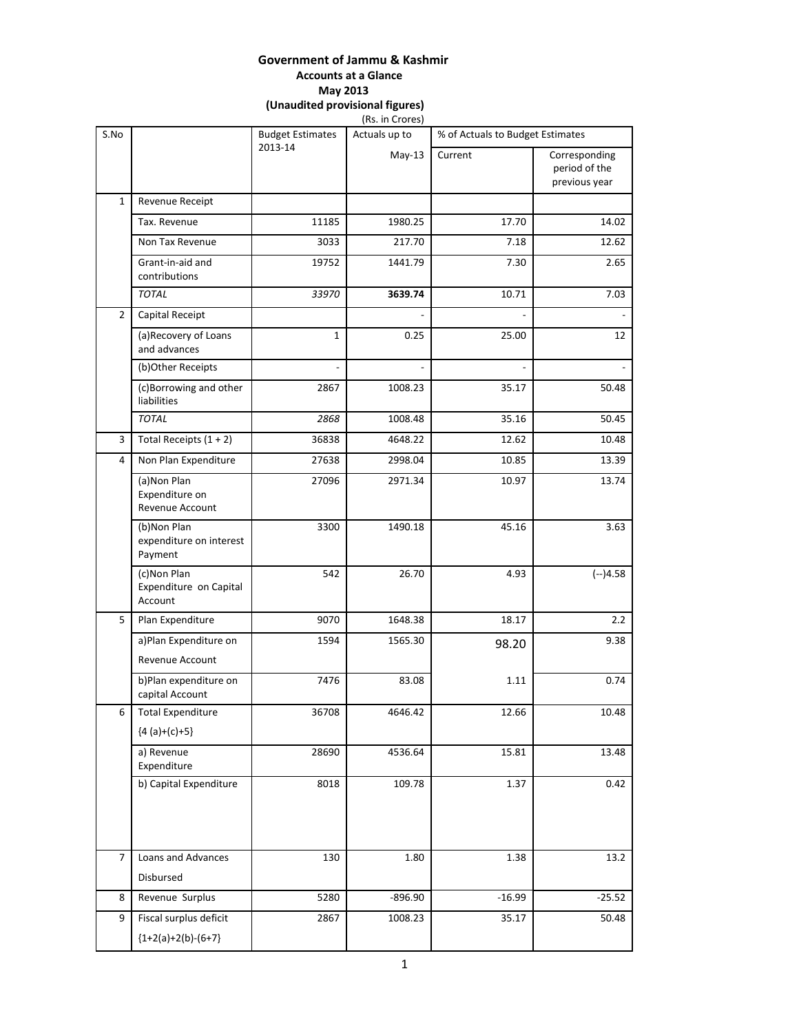# **Government of Jammu & Kashmir Accounts at a Glance May 2013**

**(Unaudited provisional figures)**

|                |                                                   |                                    | (Rs. in Crores) |                                  |                                                 |
|----------------|---------------------------------------------------|------------------------------------|-----------------|----------------------------------|-------------------------------------------------|
| S.No           |                                                   | <b>Budget Estimates</b><br>2013-14 | Actuals up to   | % of Actuals to Budget Estimates |                                                 |
|                |                                                   |                                    | $May-13$        | Current                          | Corresponding<br>period of the<br>previous year |
| $\mathbf{1}$   | Revenue Receipt                                   |                                    |                 |                                  |                                                 |
|                | Tax. Revenue                                      | 11185                              | 1980.25         | 17.70                            | 14.02                                           |
|                | Non Tax Revenue                                   | 3033                               | 217.70          | 7.18                             | 12.62                                           |
|                | Grant-in-aid and<br>contributions                 | 19752                              | 1441.79         | 7.30                             | 2.65                                            |
|                | <b>TOTAL</b>                                      | 33970                              | 3639.74         | 10.71                            | 7.03                                            |
| $\overline{2}$ | Capital Receipt                                   |                                    |                 |                                  |                                                 |
|                | (a) Recovery of Loans<br>and advances             | 1                                  | 0.25            | 25.00                            | 12                                              |
|                | (b)Other Receipts                                 |                                    |                 |                                  |                                                 |
|                | (c)Borrowing and other<br>liabilities             | 2867                               | 1008.23         | 35.17                            | 50.48                                           |
|                | <b>TOTAL</b>                                      | 2868                               | 1008.48         | 35.16                            | 50.45                                           |
| 3              | Total Receipts $(1 + 2)$                          | 36838                              | 4648.22         | 12.62                            | 10.48                                           |
| 4              | Non Plan Expenditure                              | 27638                              | 2998.04         | 10.85                            | 13.39                                           |
|                | (a) Non Plan<br>Expenditure on<br>Revenue Account | 27096                              | 2971.34         | 10.97                            | 13.74                                           |
|                | (b)Non Plan<br>expenditure on interest<br>Payment | 3300                               | 1490.18         | 45.16                            | 3.63                                            |
|                | (c)Non Plan<br>Expenditure on Capital<br>Account  | 542                                | 26.70           | 4.93                             | $(-)4.58$                                       |
| 5              | Plan Expenditure                                  | 9070                               | 1648.38         | 18.17                            | 2.2                                             |
|                | a) Plan Expenditure on<br>Revenue Account         | 1594                               | 1565.30         | 98.20                            | 9.38                                            |
|                | b)Plan expenditure on<br>capital Account          | 7476                               | 83.08           | 1.11                             | 0.74                                            |
| 6              | <b>Total Expenditure</b><br>${4 (a)+(c)+5}$       | 36708                              | 4646.42         | 12.66                            | 10.48                                           |
|                | a) Revenue<br>Expenditure                         | 28690                              | 4536.64         | 15.81                            | 13.48                                           |
|                | b) Capital Expenditure                            | 8018                               | 109.78          | 1.37                             | 0.42                                            |
| 7              | Loans and Advances<br>Disbursed                   | 130                                | 1.80            | 1.38                             | 13.2                                            |
| 8              | Revenue Surplus                                   | 5280                               | $-896.90$       | $-16.99$                         | $-25.52$                                        |
| 9              | Fiscal surplus deficit                            | 2867                               | 1008.23         | 35.17                            | 50.48                                           |
|                | ${1+2(a)+2(b)-(6+7)}$                             |                                    |                 |                                  |                                                 |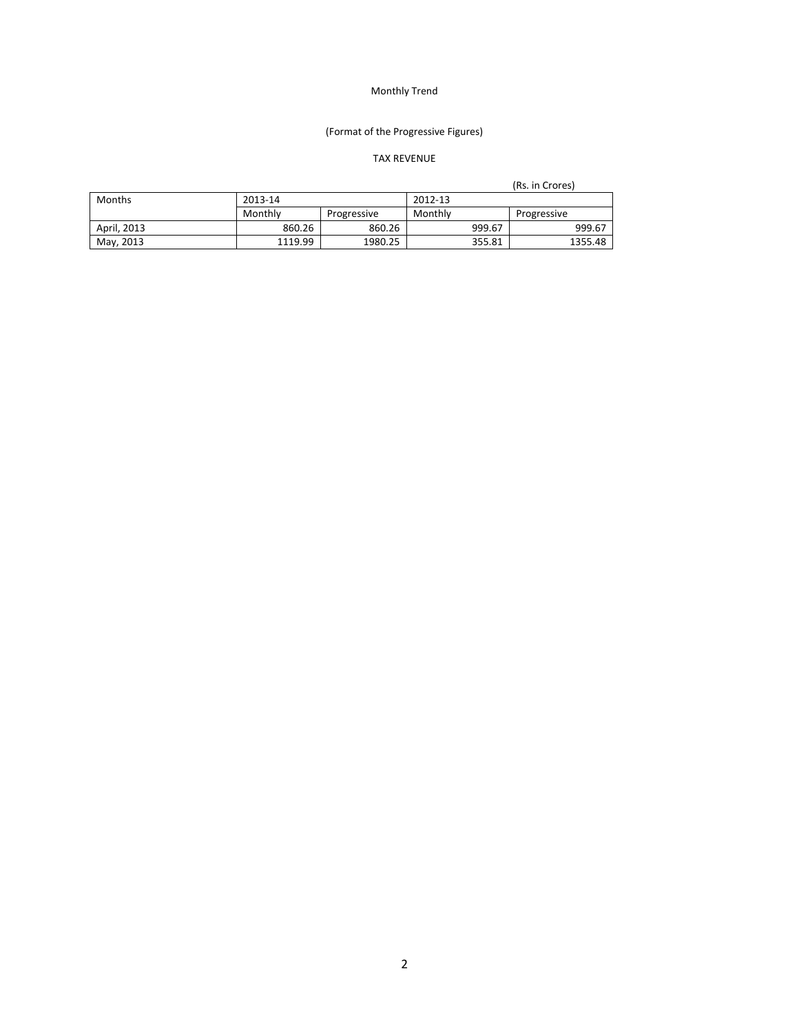## (Format of the Progressive Figures)

## TAX REVENUE

|             |         |             |         |        | (Rs. in Crores) |
|-------------|---------|-------------|---------|--------|-----------------|
| Months      | 2013-14 |             | 2012-13 |        |                 |
|             | Monthly | Progressive | Monthly |        | Progressive     |
| April, 2013 | 860.26  | 860.26      |         | 999.67 | 999.67          |
| May, 2013   | 1119.99 | 1980.25     |         | 355.81 | 1355.48         |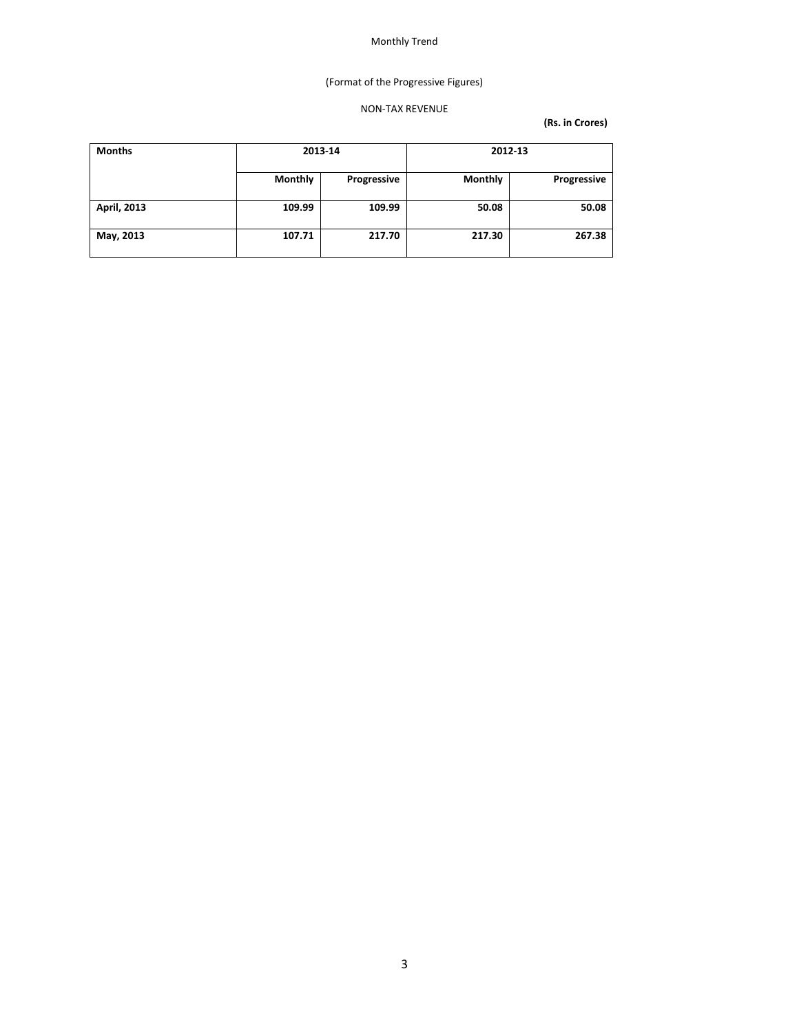## (Format of the Progressive Figures)

## NON‐TAX REVENUE

| <b>Months</b> | 2013-14        |             | 2012-13        |             |
|---------------|----------------|-------------|----------------|-------------|
|               | <b>Monthly</b> | Progressive | <b>Monthly</b> | Progressive |
| April, 2013   | 109.99         | 109.99      | 50.08          | 50.08       |
| May, 2013     | 107.71         | 217.70      | 217.30         | 267.38      |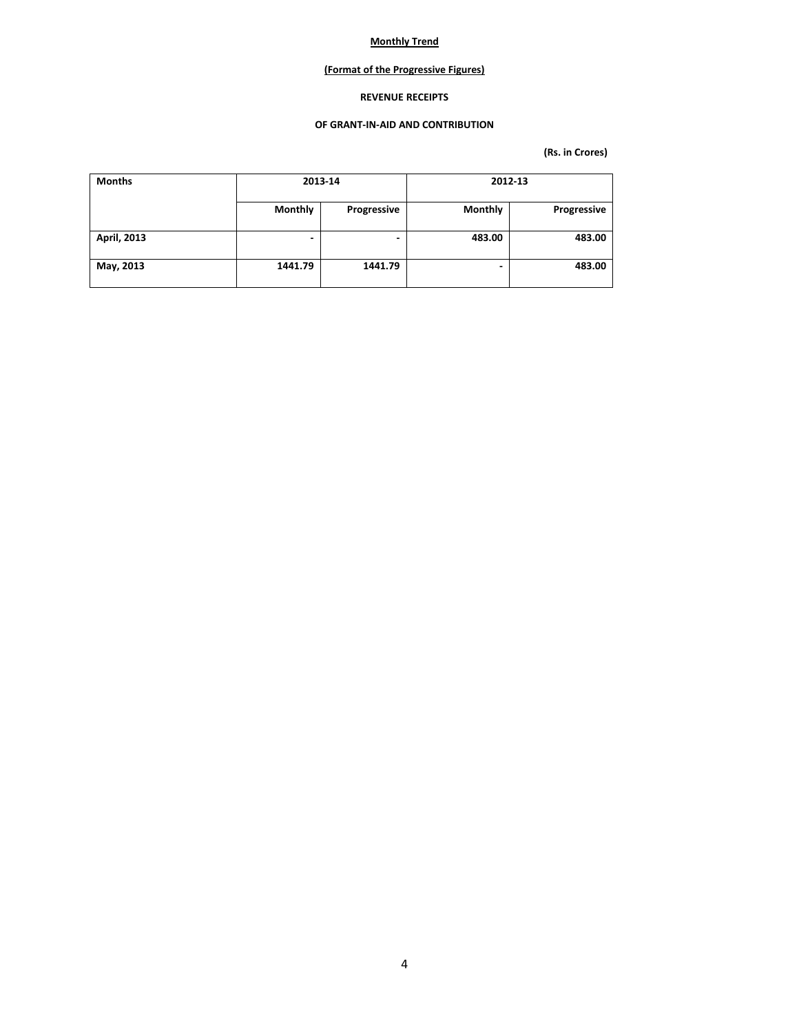## **(Format of the Progressive Figures)**

### **REVENUE RECEIPTS**

#### **OF GRANT‐IN‐AID AND CONTRIBUTION**

| <b>Months</b> |                | 2013-14     |                | 2012-13     |
|---------------|----------------|-------------|----------------|-------------|
|               | <b>Monthly</b> | Progressive | <b>Monthly</b> | Progressive |
| April, 2013   | ۰              | ٠           | 483.00         | 483.00      |
| May, 2013     | 1441.79        | 1441.79     | -              | 483.00      |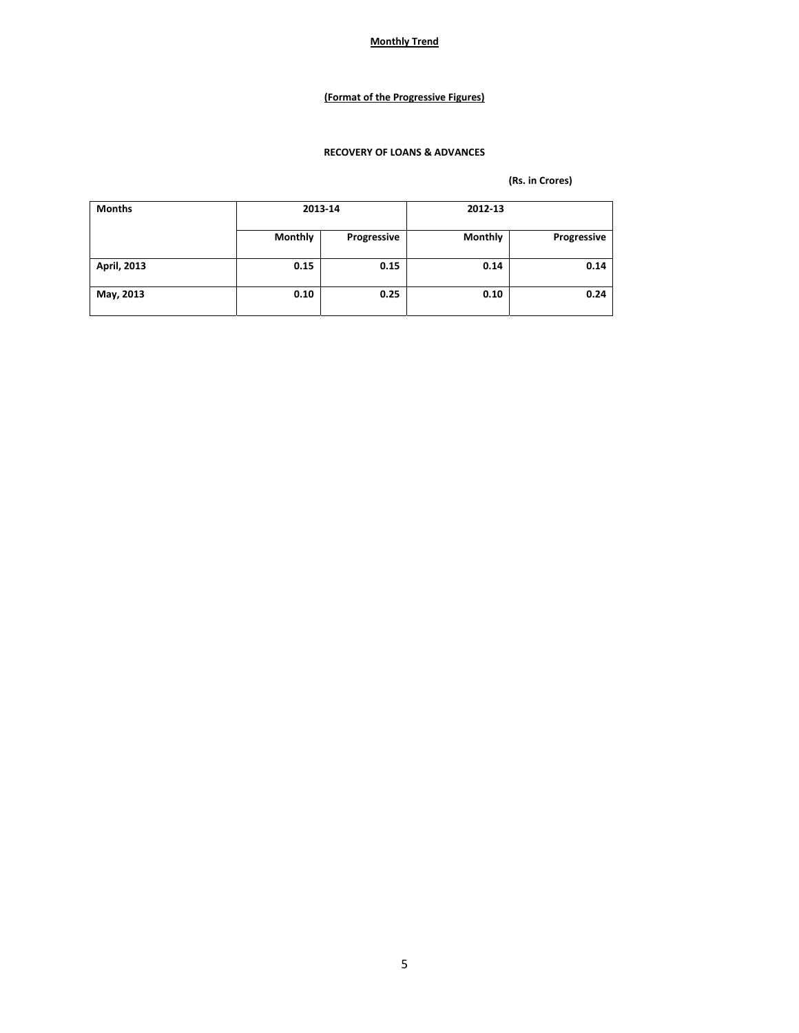## **(Format of the Progressive Figures)**

## **RECOVERY OF LOANS & ADVANCES**

| <b>Months</b> | 2013-14        |             | 2012-13        |             |
|---------------|----------------|-------------|----------------|-------------|
|               | <b>Monthly</b> | Progressive | <b>Monthly</b> | Progressive |
| April, 2013   | 0.15           | 0.15        | 0.14           | 0.14        |
| May, 2013     | 0.10           | 0.25        | 0.10           | 0.24        |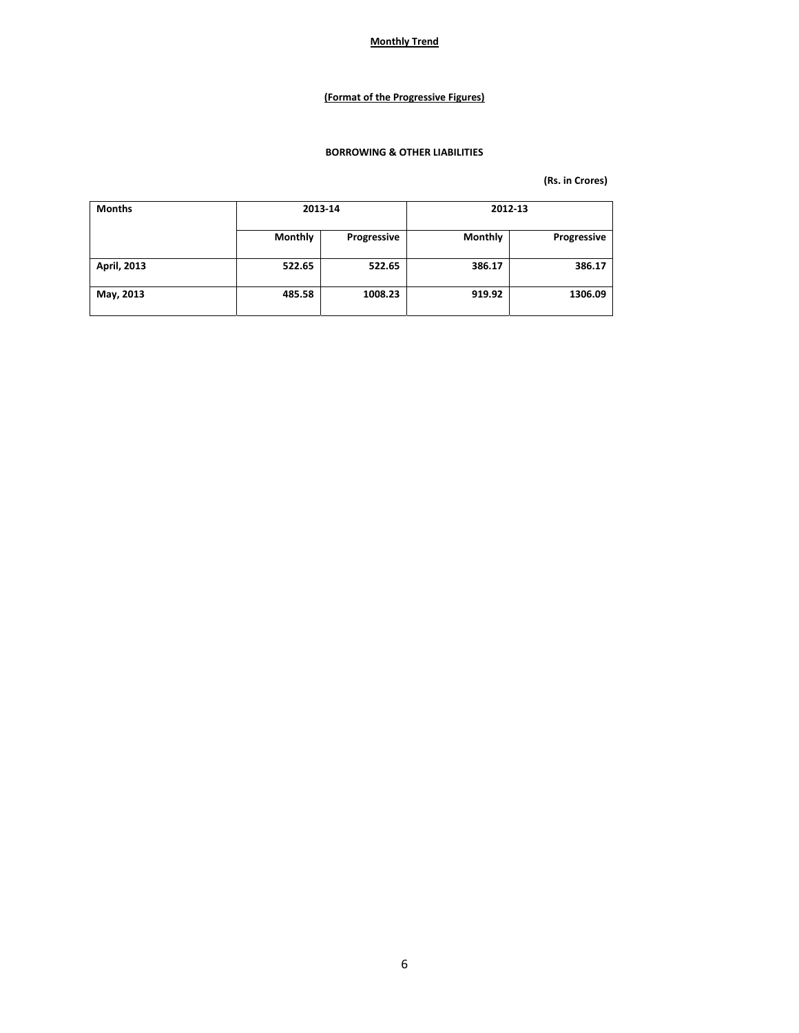## **(Format of the Progressive Figures)**

### **BORROWING & OTHER LIABILITIES**

| <b>Months</b> | 2013-14 |             | 2012-13        |             |
|---------------|---------|-------------|----------------|-------------|
|               | Monthly | Progressive | <b>Monthly</b> | Progressive |
| April, 2013   | 522.65  | 522.65      | 386.17         | 386.17      |
| May, 2013     | 485.58  | 1008.23     | 919.92         | 1306.09     |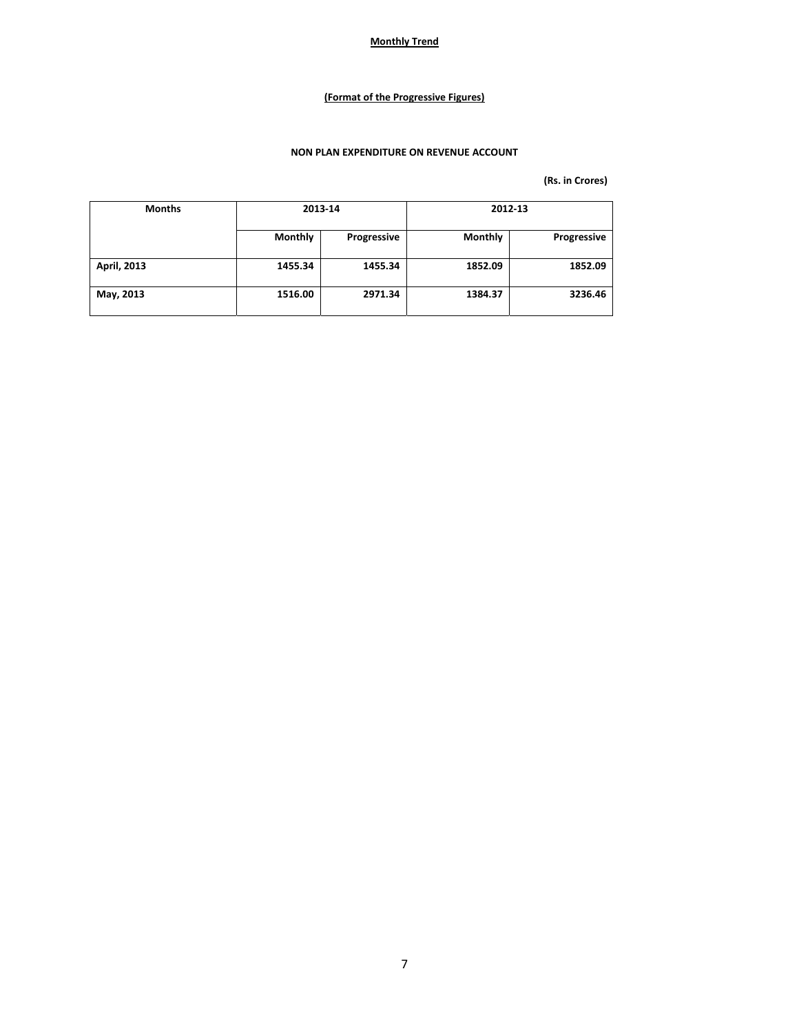## **(Format of the Progressive Figures)**

## **NON PLAN EXPENDITURE ON REVENUE ACCOUNT**

| <b>Months</b> | 2013-14 |             | 2012-13        |             |
|---------------|---------|-------------|----------------|-------------|
|               | Monthly | Progressive | <b>Monthly</b> | Progressive |
| April, 2013   | 1455.34 | 1455.34     | 1852.09        | 1852.09     |
| May, 2013     | 1516.00 | 2971.34     | 1384.37        | 3236.46     |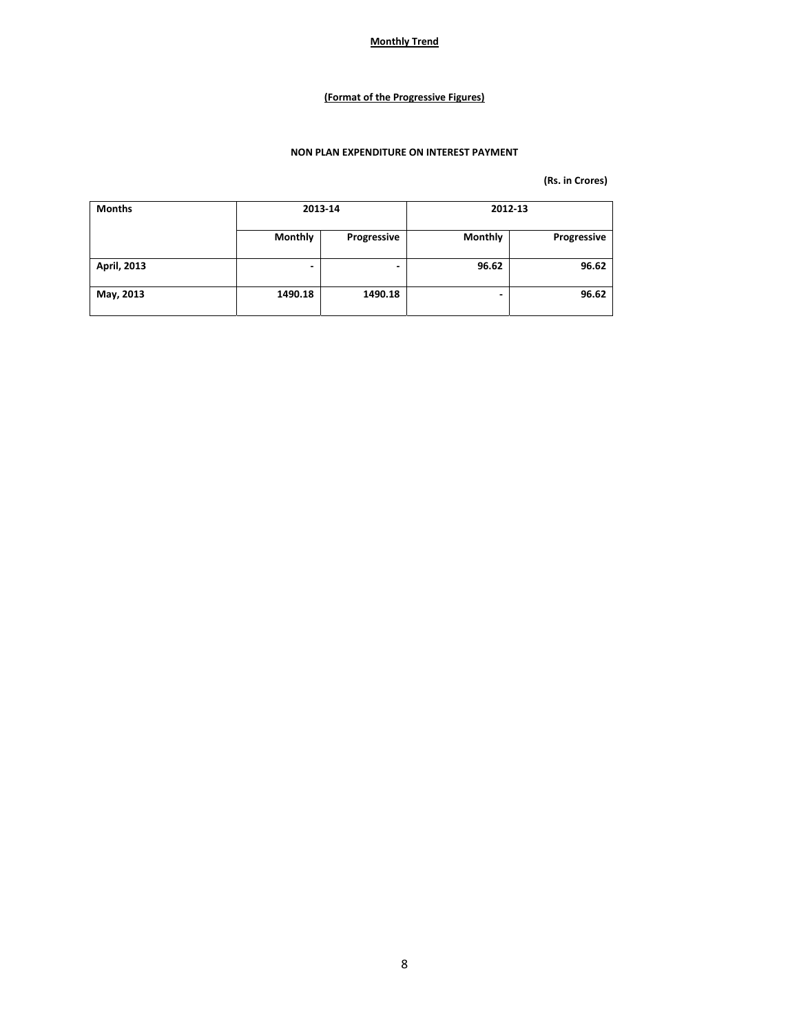## **(Format of the Progressive Figures)**

## **NON PLAN EXPENDITURE ON INTEREST PAYMENT**

| <b>Months</b>      | 2013-14 |             | 2012-13        |             |
|--------------------|---------|-------------|----------------|-------------|
|                    | Monthly | Progressive | <b>Monthly</b> | Progressive |
| <b>April, 2013</b> | ٠       | ۰           | 96.62          | 96.62       |
| May, 2013          | 1490.18 | 1490.18     |                | 96.62       |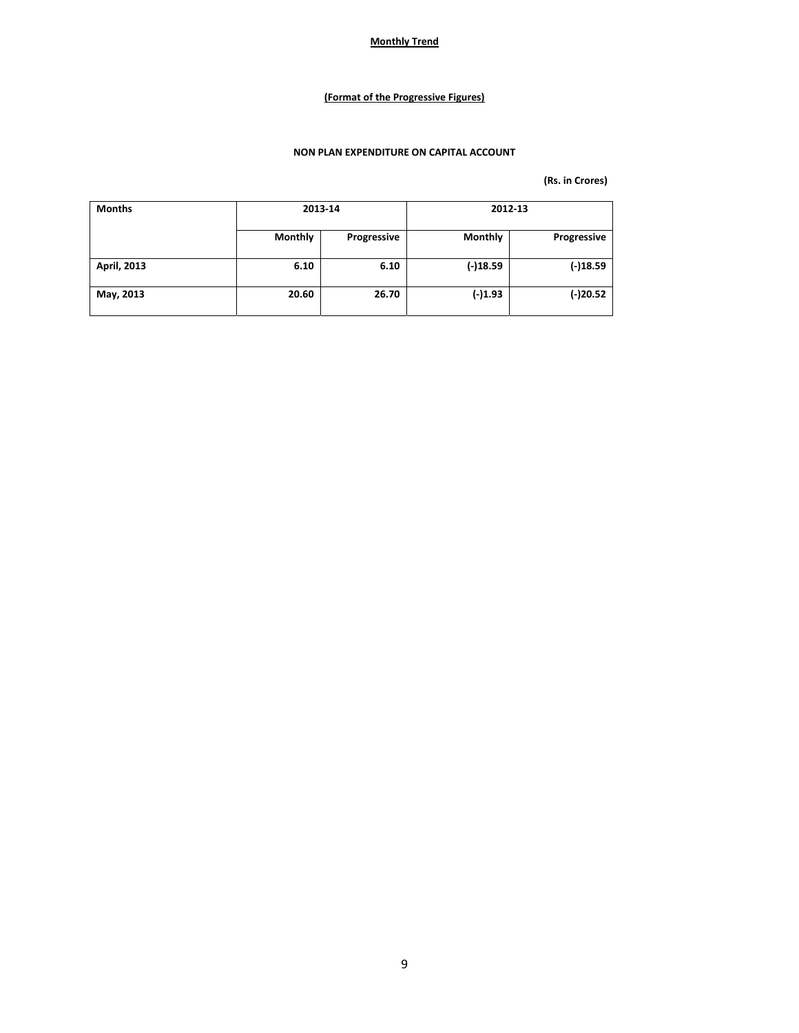## **(Format of the Progressive Figures)**

## **NON PLAN EXPENDITURE ON CAPITAL ACCOUNT**

| <b>Months</b> | 2013-14 |             | 2012-13        |             |
|---------------|---------|-------------|----------------|-------------|
|               | Monthly | Progressive | <b>Monthly</b> | Progressive |
| April, 2013   | 6.10    | 6.10        | $(-)18.59$     | $(-)18.59$  |
| May, 2013     | 20.60   | 26.70       | $(-)1.93$      | $(-)20.52$  |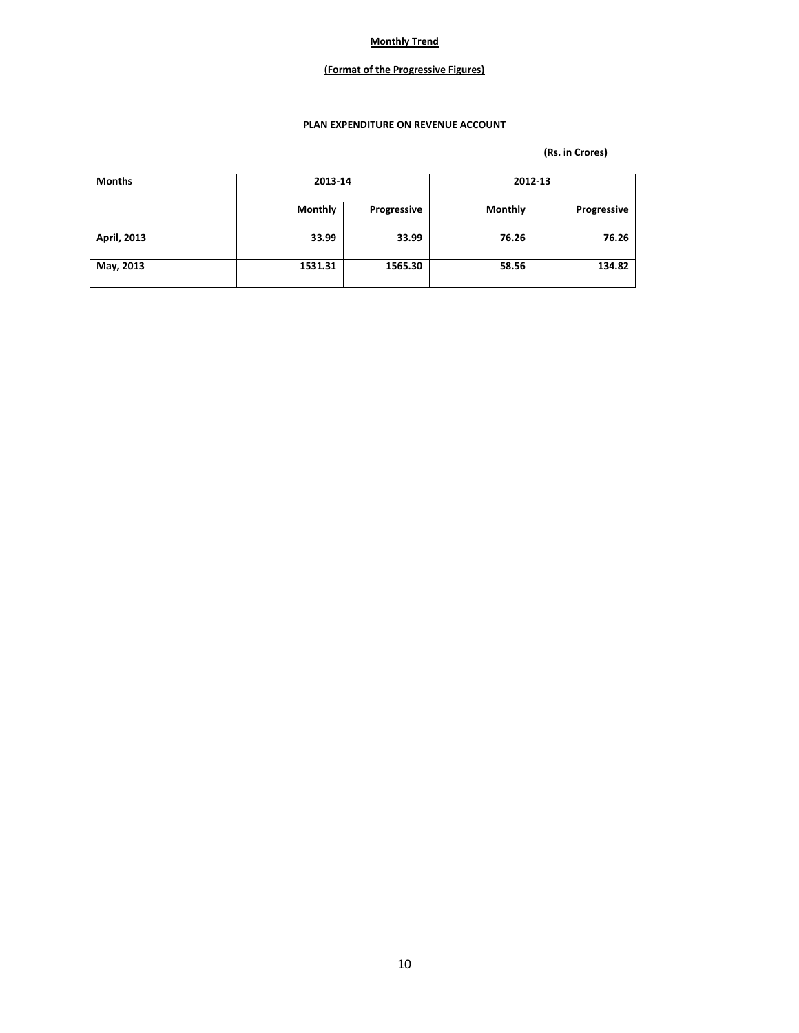## **(Format of the Progressive Figures)**

### **PLAN EXPENDITURE ON REVENUE ACCOUNT**

| <b>Months</b> | 2013-14        |             | 2012-13        |             |
|---------------|----------------|-------------|----------------|-------------|
|               | <b>Monthly</b> | Progressive | <b>Monthly</b> | Progressive |
| April, 2013   | 33.99          | 33.99       | 76.26          | 76.26       |
| May, 2013     | 1531.31        | 1565.30     | 58.56          | 134.82      |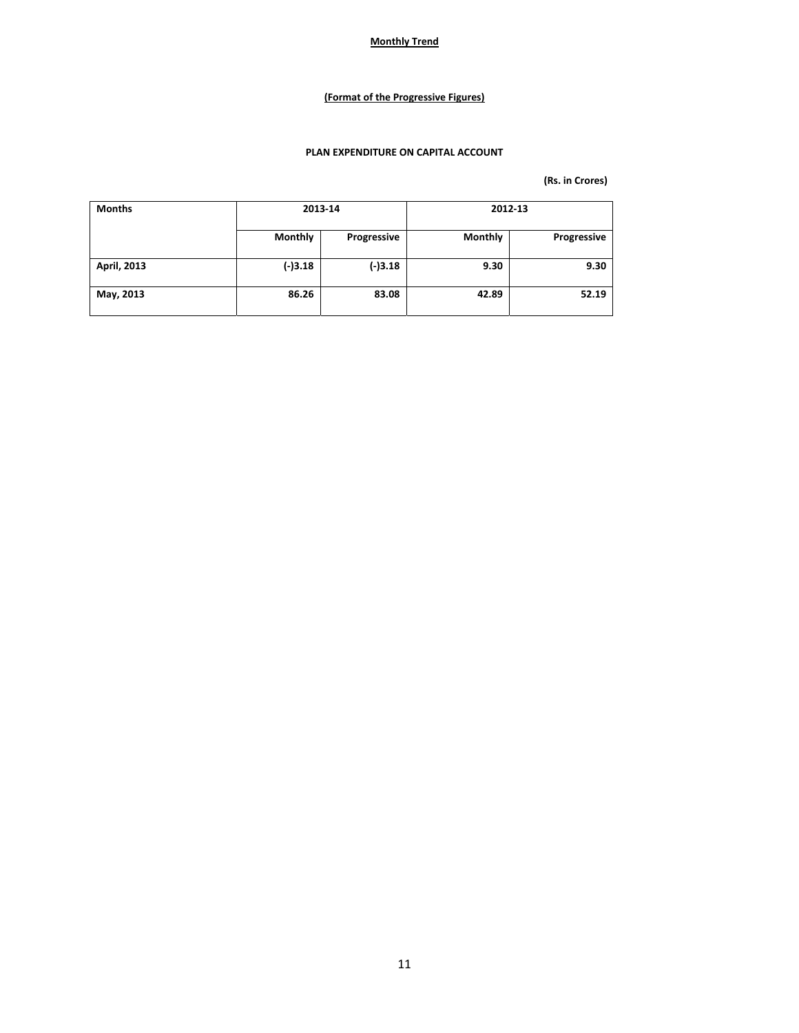## **(Format of the Progressive Figures)**

### **PLAN EXPENDITURE ON CAPITAL ACCOUNT**

| <b>Months</b> | 2013-14        |             | 2012-13        |             |
|---------------|----------------|-------------|----------------|-------------|
|               | <b>Monthly</b> | Progressive | <b>Monthly</b> | Progressive |
| April, 2013   | $(-)3.18$      | $(-)3.18$   | 9.30           | 9.30        |
| May, 2013     | 86.26          | 83.08       | 42.89          | 52.19       |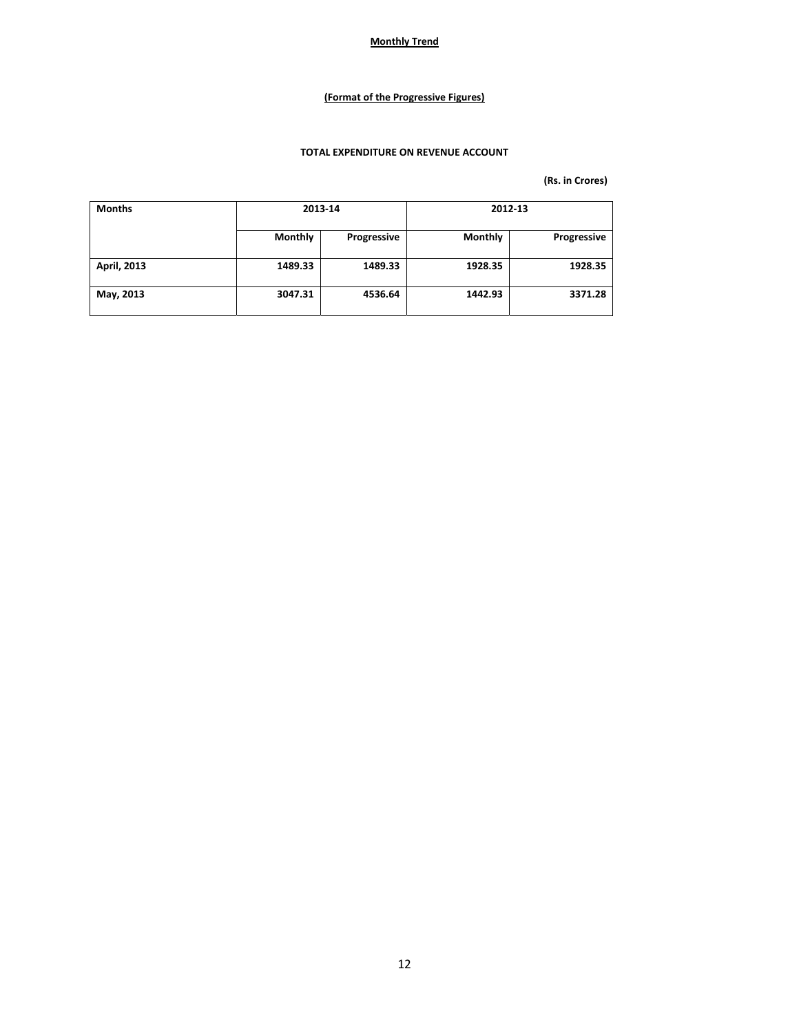## **(Format of the Progressive Figures)**

## **TOTAL EXPENDITURE ON REVENUE ACCOUNT**

| <b>Months</b> | 2013-14 |             | 2012-13        |             |
|---------------|---------|-------------|----------------|-------------|
|               | Monthly | Progressive | <b>Monthly</b> | Progressive |
| April, 2013   | 1489.33 | 1489.33     | 1928.35        | 1928.35     |
| May, 2013     | 3047.31 | 4536.64     | 1442.93        | 3371.28     |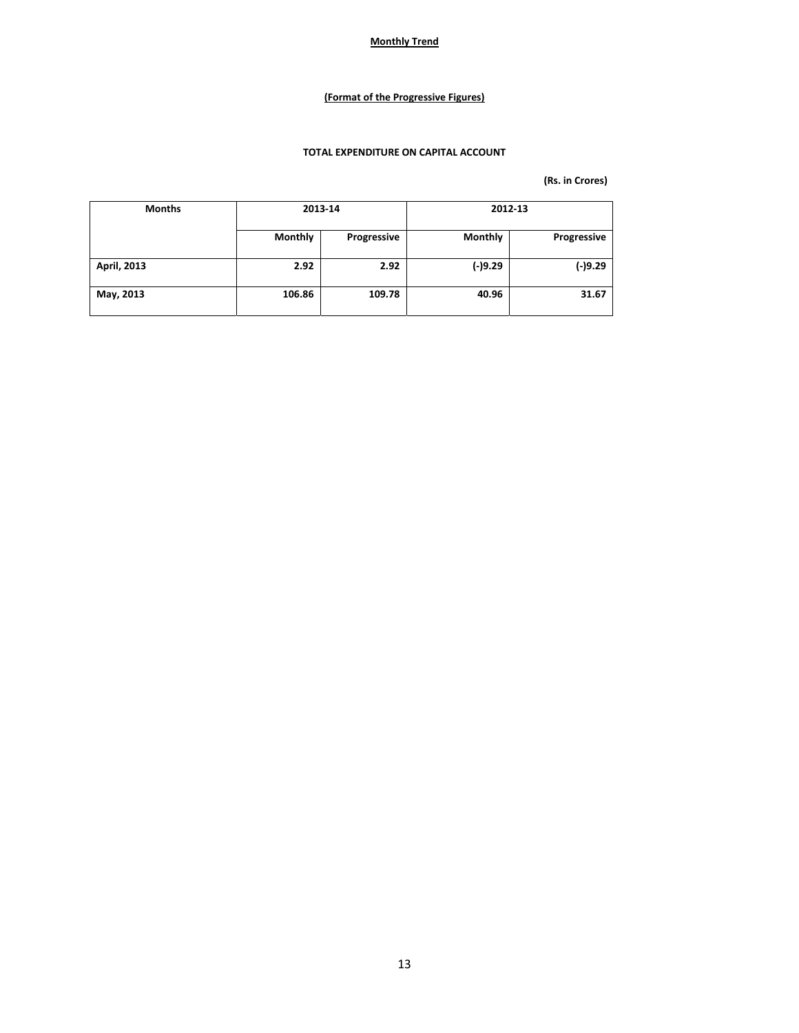## **(Format of the Progressive Figures)**

## **TOTAL EXPENDITURE ON CAPITAL ACCOUNT**

| <b>Months</b> | 2013-14 |             | 2012-13        |             |  |
|---------------|---------|-------------|----------------|-------------|--|
|               | Monthly | Progressive | <b>Monthly</b> | Progressive |  |
| April, 2013   | 2.92    | 2.92        | $(-)9.29$      | $(-)9.29$   |  |
| May, 2013     | 106.86  | 109.78      | 40.96          | 31.67       |  |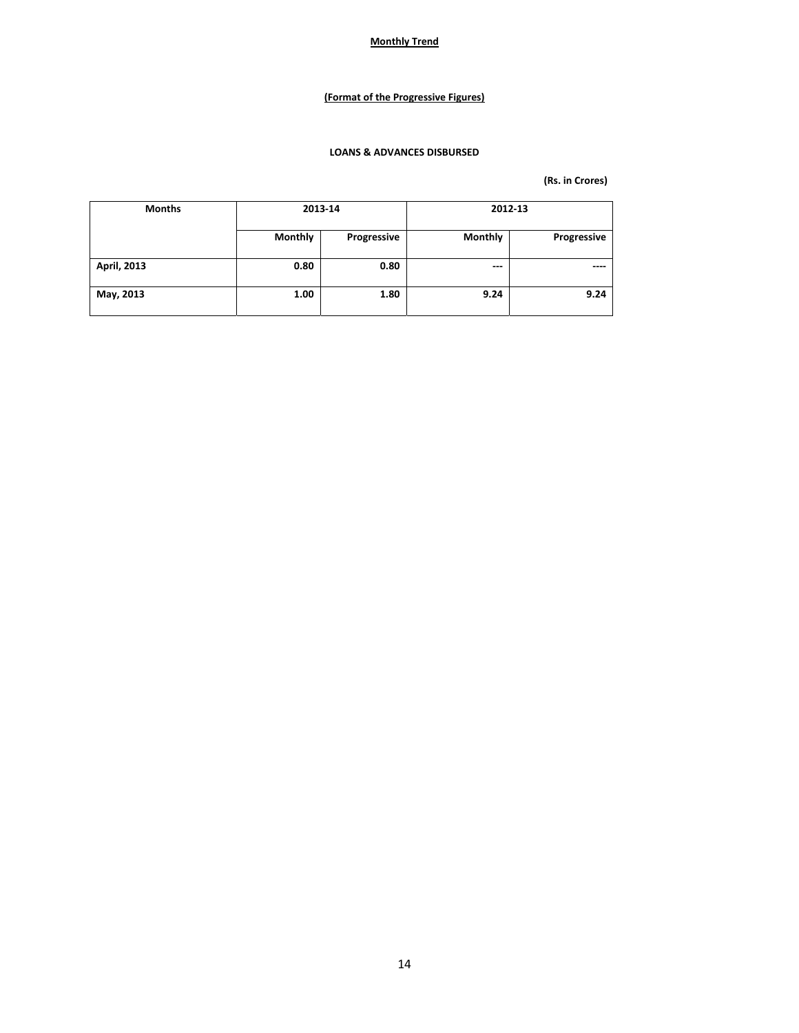## **(Format of the Progressive Figures)**

## **LOANS & ADVANCES DISBURSED**

| <b>Months</b> | 2013-14 |             | 2012-13        |             |  |
|---------------|---------|-------------|----------------|-------------|--|
|               | Monthly | Progressive | <b>Monthly</b> | Progressive |  |
| April, 2013   | 0.80    | 0.80        | $---$          | ----        |  |
| May, 2013     | 1.00    | 1.80        | 9.24           | 9.24        |  |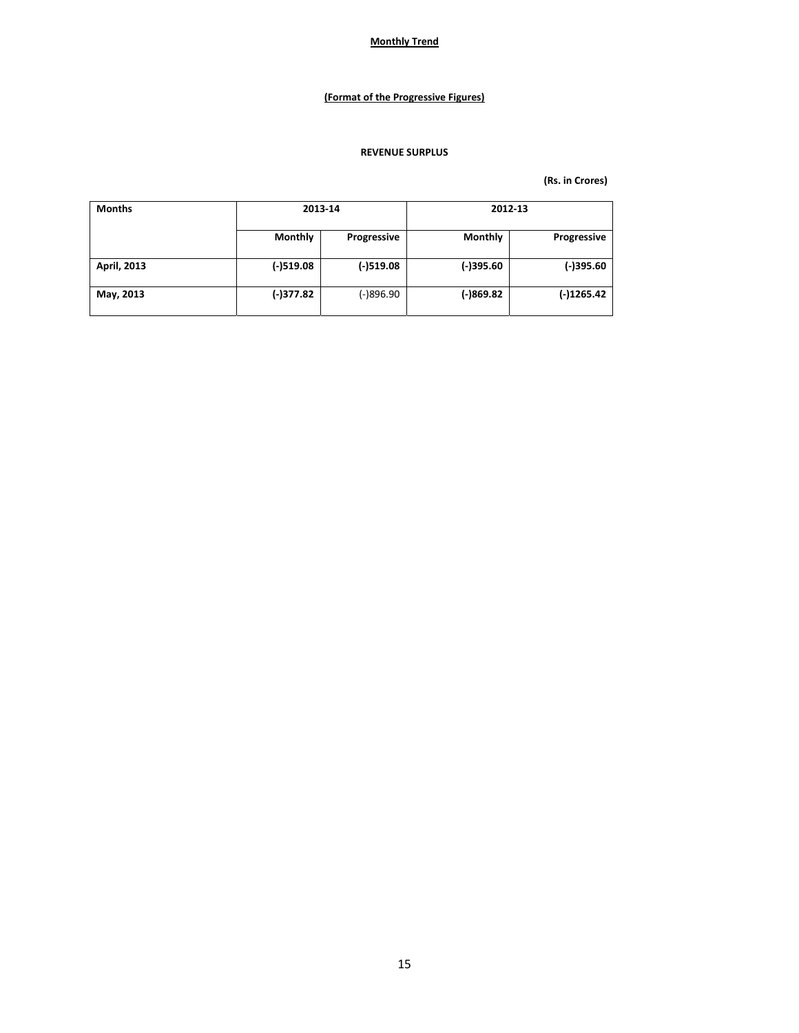## **(Format of the Progressive Figures)**

### **REVENUE SURPLUS**

| <b>Months</b> | 2013-14        |             | 2012-13     |              |  |
|---------------|----------------|-------------|-------------|--------------|--|
|               | <b>Monthly</b> | Progressive | Monthly     | Progressive  |  |
| April, 2013   | $(-)519.08$    | $(-)519.08$ | $(-)395.60$ | (-)395.60    |  |
| May, 2013     | $(-)377.82$    | (-)896.90   | (-)869.82   | $(-)1265.42$ |  |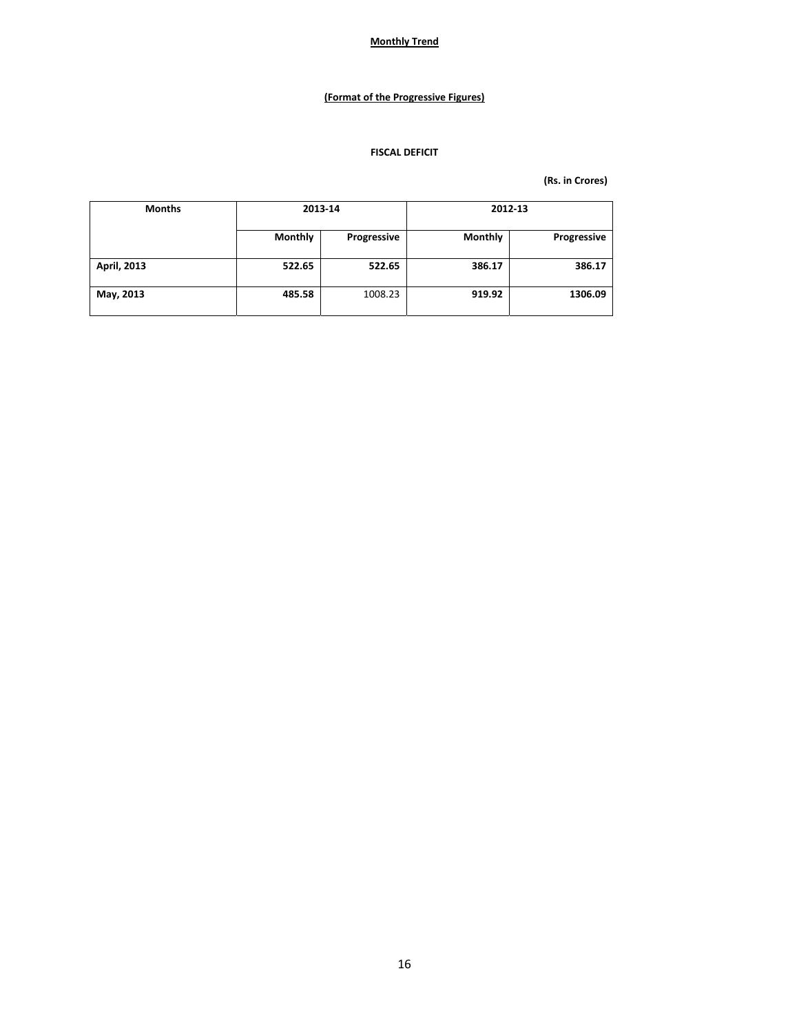## **(Format of the Progressive Figures)**

### **FISCAL DEFICIT**

| <b>Months</b> | 2013-14 |             | 2012-13        |             |
|---------------|---------|-------------|----------------|-------------|
|               | Monthly | Progressive | <b>Monthly</b> | Progressive |
| April, 2013   | 522.65  | 522.65      | 386.17         | 386.17      |
| May, 2013     | 485.58  | 1008.23     | 919.92         | 1306.09     |